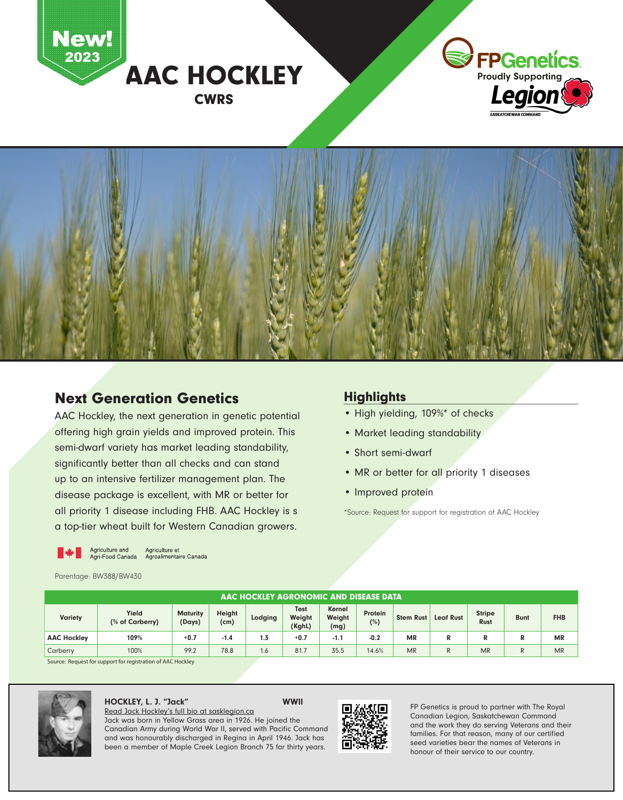



## Next Generation Genetics

AAC Hockley, the next generation in genetic potential offering high grain yields and improved protein. This semi-dwarf variety has market leading standability, significantly better than all checks and can stand up to an intensive fertilizer management plan. The disease package is excellent, with MR or better for all priority 1 disease including FHB. AAC Hockley is s a top-tier wheat built for Western Canadian growers.

## **Highlights**

- High yielding, 109%\* of checks
- Market leading standability
- Short semi-dwarf
- MR or better for all priority 1 diseases
- Improved protein

\*Source: Request for support for registration of AAC Hockley

Agriculture and and Agriculture et<br>Agri-Food Canada Agroalimentaire Canada

Parentage: BW388/BW430

| AAC HOCKLEY AGRONOMIC AND DISEASE DATA |                          |                           |                |         |                                 |                          |                |                  |                  |                              |             |            |
|----------------------------------------|--------------------------|---------------------------|----------------|---------|---------------------------------|--------------------------|----------------|------------------|------------------|------------------------------|-------------|------------|
| <b>Variety</b>                         | Yield<br>(% of Carberry) | <b>Maturity</b><br>(Days) | Height<br>(cm) | Lodging | <b>Test</b><br>Weight<br>(KghL) | Kernel<br>Weight<br>(mg) | Protein<br>(%) | <b>Stem Rust</b> | <b>Leaf Rust</b> | <b>Stripe</b><br><b>Rust</b> | <b>Bunt</b> | <b>FHB</b> |
| <b>AAC Hockley</b>                     | 109%                     | $+0.7$                    | $-1.4$         | 1.3     | $+0.7$                          | $-1.1$                   | $-0.2$         | MR               | R                | R                            |             | <b>MR</b>  |
| Carberry                               | 100%                     | 99.2                      | 78.8           | 1.6     | 81.7                            | 35.5                     | 14.6%          | <b>MR</b>        | R                | <b>MR</b>                    |             | <b>MR</b>  |

Source: Request for support for registration of AAC Hockley



## HOCKLEY, L. J. "Jack" WWII

Read Jack Hockley's full bio at sasklegion.ca Jack was born in Yellow Grass area in 1926. He joined the Canadian Army during World War II, served with Pacific Command and was honourably discharged in Regina in April 1946. Jack has been a member of Maple Creek Legion Branch 75 for thirty years.



FP Genetics is proud to partner with The Royal Canadian Legion, Saskatchewan Command and the work they do serving Veterans and their families. For that reason, many of our certified seed varieties bear the names of Veterans in honour of their service to our country.